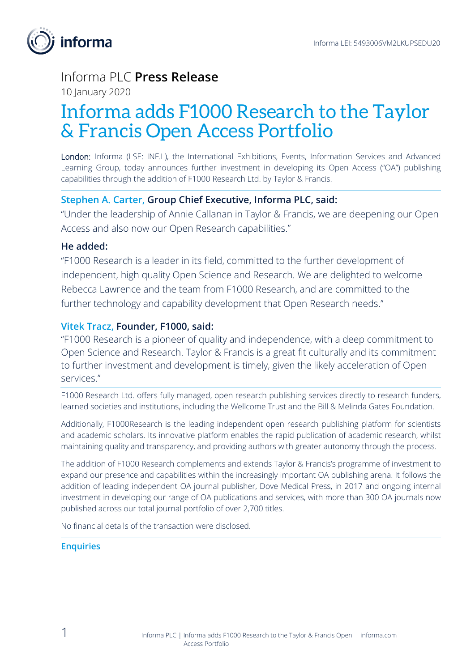

## Informa PLC **Press Release**

10 January 2020

# Informa adds F1000 Research to the Taylor & Francis Open Access Portfolio

London: Informa (LSE: INF.L), the International Exhibitions, Events, Information Services and Advanced Learning Group, today announces further investment in developing its Open Access ("OA") publishing capabilities through the addition of F1000 Research Ltd. by Taylor & Francis.

## **Stephen A. Carter, Group Chief Executive, Informa PLC, said:**

"Under the leadership of Annie Callanan in Taylor & Francis, we are deepening our Open Access and also now our Open Research capabilities."

### **He added:**

"F1000 Research is a leader in its field, committed to the further development of independent, high quality Open Science and Research. We are delighted to welcome Rebecca Lawrence and the team from F1000 Research, and are committed to the further technology and capability development that Open Research needs."

## **Vitek Tracz, Founder, F1000, said:**

"F1000 Research is a pioneer of quality and independence, with a deep commitment to Open Science and Research. Taylor & Francis is a great fit culturally and its commitment to further investment and development is timely, given the likely acceleration of Open services."

F1000 Research Ltd. offers fully managed, open research publishing services directly to research funders, learned societies and institutions, including the Wellcome Trust and the Bill & Melinda Gates Foundation.

Additionally, F1000Research is the leading independent open research publishing platform for scientists and academic scholars. Its innovative platform enables the rapid publication of academic research, whilst maintaining quality and transparency, and providing authors with greater autonomy through the process.

The addition of F1000 Research complements and extends Taylor & Francis's programme of investment to expand our presence and capabilities within the increasingly important OA publishing arena. It follows the addition of leading independent OA journal publisher, Dove Medical Press, in 2017 and ongoing internal investment in developing our range of OA publications and services, with more than 300 OA journals now published across our total journal portfolio of over 2,700 titles.

No financial details of the transaction were disclosed.

#### **Enquiries**